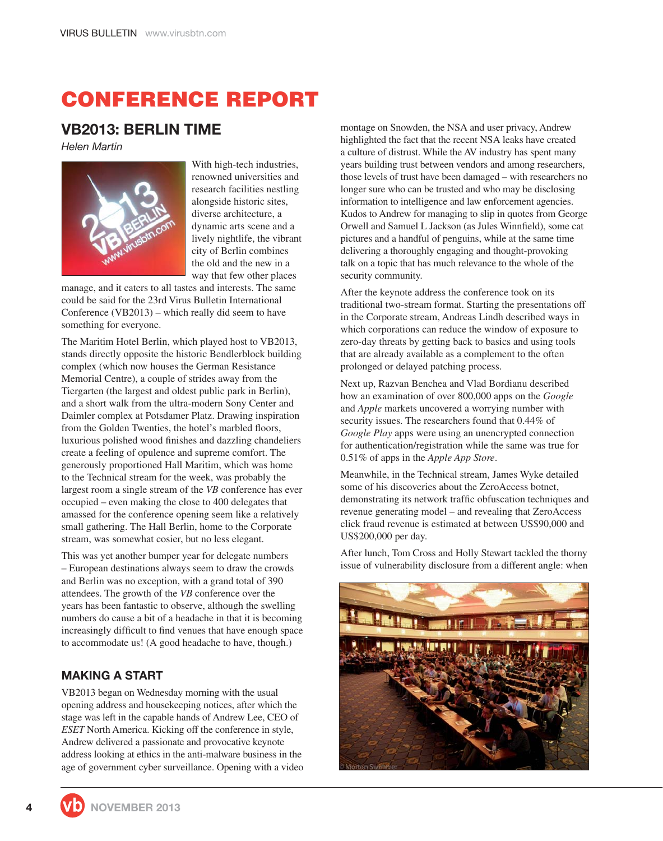# **CONFERENCE REPORT**

# **VB2013: BERLIN TIME**

*Helen Martin*



With high-tech industries, renowned universities and research facilities nestling alongside historic sites, diverse architecture, a dynamic arts scene and a lively nightlife, the vibrant city of Berlin combines the old and the new in a way that few other places

manage, and it caters to all tastes and interests. The same could be said for the 23rd Virus Bulletin International Conference (VB2013) – which really did seem to have something for everyone.

The Maritim Hotel Berlin, which played host to VB2013, stands directly opposite the historic Bendlerblock building complex (which now houses the German Resistance Memorial Centre), a couple of strides away from the Tiergarten (the largest and oldest public park in Berlin), and a short walk from the ultra-modern Sony Center and Daimler complex at Potsdamer Platz. Drawing inspiration from the Golden Twenties, the hotel's marbled floors, luxurious polished wood finishes and dazzling chandeliers create a feeling of opulence and supreme comfort. The generously proportioned Hall Maritim, which was home to the Technical stream for the week, was probably the largest room a single stream of the *VB* conference has ever occupied – even making the close to 400 delegates that amassed for the conference opening seem like a relatively small gathering. The Hall Berlin, home to the Corporate stream, was somewhat cosier, but no less elegant.

This was yet another bumper year for delegate numbers – European destinations always seem to draw the crowds and Berlin was no exception, with a grand total of 390 attendees. The growth of the *VB* conference over the years has been fantastic to observe, although the swelling numbers do cause a bit of a headache in that it is becoming increasingly difficult to find venues that have enough space to accommodate us! (A good headache to have, though.)

# **MAKING A START**

VB2013 began on Wednesday morning with the usual opening address and housekeeping notices, after which the stage was left in the capable hands of Andrew Lee, CEO of *ESET* North America. Kicking off the conference in style, Andrew delivered a passionate and provocative keynote address looking at ethics in the anti-malware business in the age of government cyber surveillance. Opening with a video montage on Snowden, the NSA and user privacy, Andrew highlighted the fact that the recent NSA leaks have created a culture of distrust. While the AV industry has spent many years building trust between vendors and among researchers, those levels of trust have been damaged – with researchers no longer sure who can be trusted and who may be disclosing information to intelligence and law enforcement agencies. Kudos to Andrew for managing to slip in quotes from George Orwell and Samuel L Jackson (as Jules Winnfield), some cat pictures and a handful of penguins, while at the same time delivering a thoroughly engaging and thought-provoking talk on a topic that has much relevance to the whole of the security community.

After the keynote address the conference took on its traditional two-stream format. Starting the presentations off in the Corporate stream, Andreas Lindh described ways in which corporations can reduce the window of exposure to zero-day threats by getting back to basics and using tools that are already available as a complement to the often prolonged or delayed patching process.

Next up, Razvan Benchea and Vlad Bordianu described how an examination of over 800,000 apps on the *Google* and *Apple* markets uncovered a worrying number with security issues. The researchers found that 0.44% of *Google Play* apps were using an unencrypted connection for authentication/registration while the same was true for 0.51% of apps in the *Apple App Store*.

Meanwhile, in the Technical stream, James Wyke detailed some of his discoveries about the ZeroAccess botnet, demonstrating its network traffic obfuscation techniques and revenue generating model – and revealing that ZeroAccess click fraud revenue is estimated at between US\$90,000 and US\$200,000 per day.

After lunch, Tom Cross and Holly Stewart tackled the thorny issue of vulnerability disclosure from a different angle: when

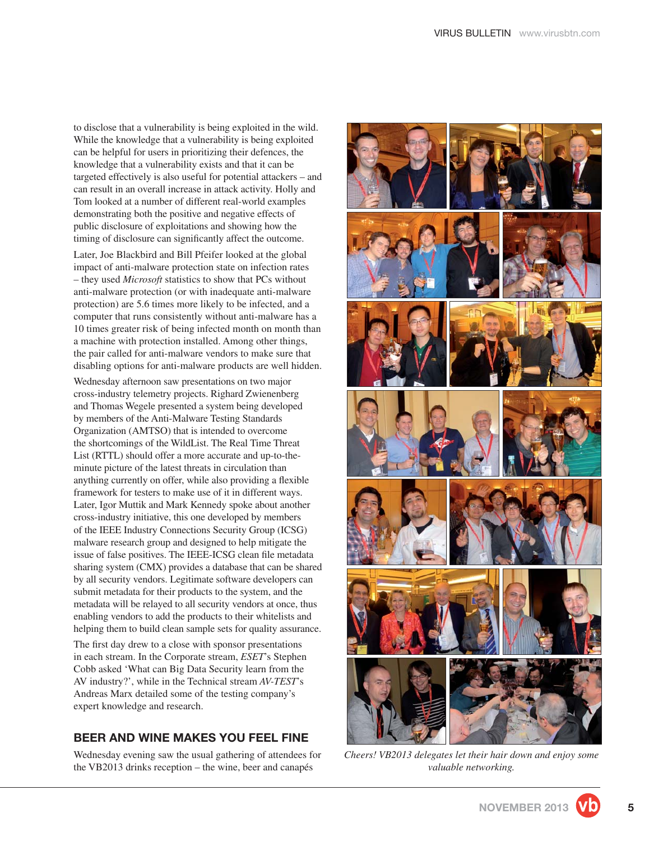to disclose that a vulnerability is being exploited in the wild. While the knowledge that a vulnerability is being exploited can be helpful for users in prioritizing their defences, the knowledge that a vulnerability exists and that it can be targeted effectively is also useful for potential attackers – and can result in an overall increase in attack activity. Holly and Tom looked at a number of different real-world examples demonstrating both the positive and negative effects of public disclosure of exploitations and showing how the timing of disclosure can significantly affect the outcome.

Later, Joe Blackbird and Bill Pfeifer looked at the global impact of anti-malware protection state on infection rates – they used *Microsoft* statistics to show that PCs without anti-malware protection (or with inadequate anti-malware protection) are 5.6 times more likely to be infected, and a computer that runs consistently without anti-malware has a 10 times greater risk of being infected month on month than a machine with protection installed. Among other things, the pair called for anti-malware vendors to make sure that disabling options for anti-malware products are well hidden.

Wednesday afternoon saw presentations on two major cross-industry telemetry projects. Righard Zwienenberg and Thomas Wegele presented a system being developed by members of the Anti-Malware Testing Standards Organization (AMTSO) that is intended to overcome the shortcomings of the WildList. The Real Time Threat List (RTTL) should offer a more accurate and up-to-theminute picture of the latest threats in circulation than anything currently on offer, while also providing a flexible framework for testers to make use of it in different ways. Later, Igor Muttik and Mark Kennedy spoke about another cross-industry initiative, this one developed by members of the IEEE Industry Connections Security Group (ICSG) malware research group and designed to help mitigate the issue of false positives. The IEEE-ICSG clean file metadata sharing system (CMX) provides a database that can be shared by all security vendors. Legitimate software developers can submit metadata for their products to the system, and the metadata will be relayed to all security vendors at once, thus enabling vendors to add the products to their whitelists and helping them to build clean sample sets for quality assurance.

The first day drew to a close with sponsor presentations in each stream. In the Corporate stream, *ESET*'s Stephen Cobb asked 'What can Big Data Security learn from the AV industry?', while in the Technical stream *AV-TEST*'s Andreas Marx detailed some of the testing company's expert knowledge and research.

# **BEER AND WINE MAKES YOU FEEL FINE**

Wednesday evening saw the usual gathering of attendees for the VB2013 drinks reception – the wine, beer and canapés



*Cheers! VB2013 delegates let their hair down and enjoy some valuable networking.*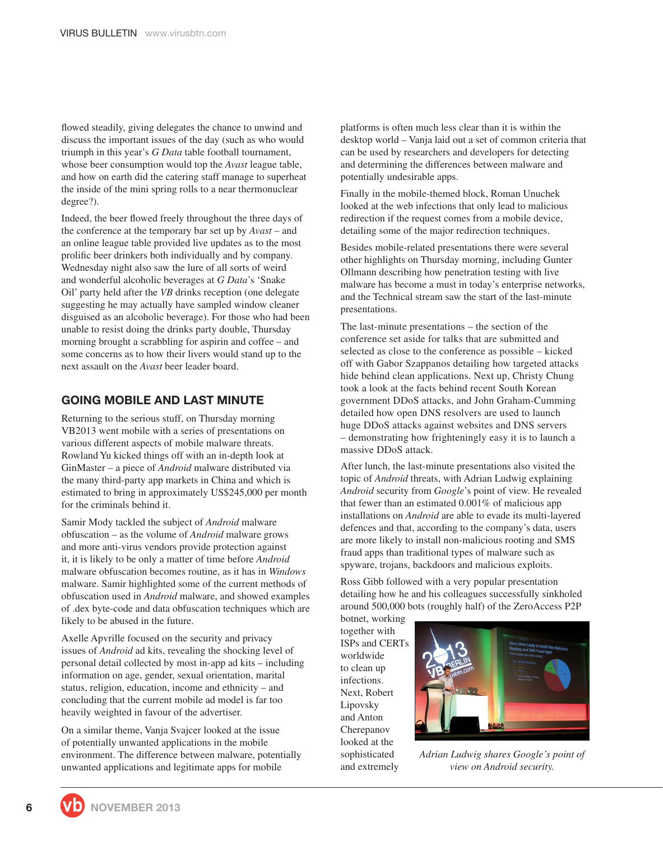flowed steadily, giving delegates the chance to unwind and discuss the important issues of the day (such as who would triumph in this year's *G Data* table football tournament, whose beer consumption would top the *Avast* league table, and how on earth did the catering staff manage to superheat the inside of the mini spring rolls to a near thermonuclear degree?).

Indeed, the beer flowed freely throughout the three days of the conference at the temporary bar set up by *Avast* – and an online league table provided live updates as to the most prolific beer drinkers both individually and by company. Wednesday night also saw the lure of all sorts of weird and wonderful alcoholic beverages at *G Data*'s 'Snake Oil' party held after the *VB* drinks reception (one delegate suggesting he may actually have sampled window cleaner disguised as an alcoholic beverage). For those who had been unable to resist doing the drinks party double, Thursday morning brought a scrabbling for aspirin and coffee – and some concerns as to how their livers would stand up to the next assault on the *Avast* beer leader board.

#### **GOING MOBILE AND LAST MINUTE**

Returning to the serious stuff, on Thursday morning VB2013 went mobile with a series of presentations on various different aspects of mobile malware threats. Rowland Yu kicked things off with an in-depth look at GinMaster – a piece of *Android* malware distributed via the many third-party app markets in China and which is estimated to bring in approximately US\$245,000 per month for the criminals behind it.

Samir Mody tackled the subject of *Android* malware obfuscation – as the volume of *Android* malware grows and more anti-virus vendors provide protection against it, it is likely to be only a matter of time before *Android* malware obfuscation becomes routine, as it has in *Windows* malware. Samir highlighted some of the current methods of obfuscation used in *Android* malware, and showed examples of .dex byte-code and data obfuscation techniques which are likely to be abused in the future.

Axelle Apvrille focused on the security and privacy issues of *Android* ad kits, revealing the shocking level of personal detail collected by most in-app ad kits – including information on age, gender, sexual orientation, marital status, religion, education, income and ethnicity – and concluding that the current mobile ad model is far too heavily weighted in favour of the advertiser.

On a similar theme, Vanja Svajcer looked at the issue of potentially unwanted applications in the mobile environment. The difference between malware, potentially unwanted applications and legitimate apps for mobile

platforms is often much less clear than it is within the desktop world – Vanja laid out a set of common criteria that can be used by researchers and developers for detecting and determining the differences between malware and potentially undesirable apps.

Finally in the mobile-themed block, Roman Unuchek looked at the web infections that only lead to malicious redirection if the request comes from a mobile device, detailing some of the major redirection techniques.

Besides mobile-related presentations there were several other highlights on Thursday morning, including Gunter Ollmann describing how penetration testing with live malware has become a must in today's enterprise networks, and the Technical stream saw the start of the last-minute presentations.

The last-minute presentations – the section of the conference set aside for talks that are submitted and selected as close to the conference as possible – kicked off with Gabor Szappanos detailing how targeted attacks hide behind clean applications. Next up, Christy Chung took a look at the facts behind recent South Korean government DDoS attacks, and John Graham-Cumming detailed how open DNS resolvers are used to launch huge DDoS attacks against websites and DNS servers – demonstrating how frighteningly easy it is to launch a massive DDoS attack.

After lunch, the last-minute presentations also visited the topic of *Android* threats, with Adrian Ludwig explaining *Android* security from *Google*'s point of view. He revealed that fewer than an estimated 0.001% of malicious app installations on *Android* are able to evade its multi-layered defences and that, according to the company's data, users are more likely to install non-malicious rooting and SMS fraud apps than traditional types of malware such as spyware, trojans, backdoors and malicious exploits.

Ross Gibb followed with a very popular presentation detailing how he and his colleagues successfully sinkholed around 500,000 bots (roughly half) of the ZeroAccess P2P

botnet, working together with ISPs and CERTs worldwide to clean up infections. Next, Robert Lipovsky and Anton Cherepanov looked at the sophisticated and extremely



*Adrian Ludwig shares Google's point of view on Android security.*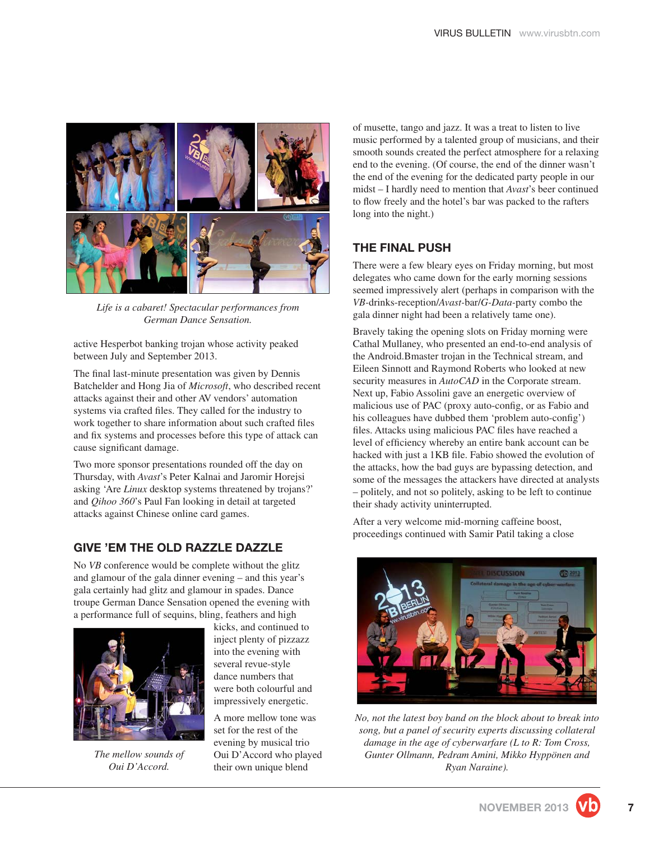

*Life is a cabaret! Spectacular performances from German Dance Sensation.*

active Hesperbot banking trojan whose activity peaked between July and September 2013.

The final last-minute presentation was given by Dennis Batchelder and Hong Jia of *Microsoft*, who described recent attacks against their and other AV vendors' automation systems via crafted files. They called for the industry to work together to share information about such crafted files and fix systems and processes before this type of attack can cause significant damage.

Two more sponsor presentations rounded off the day on Thursday, with *Avast*'s Peter Kalnai and Jaromir Horejsi asking 'Are *Linux* desktop systems threatened by trojans?' and *Qihoo 360*'s Paul Fan looking in detail at targeted attacks against Chinese online card games.

#### **GIVE 'EM THE OLD RAZZLE DAZZLE**

No *VB* conference would be complete without the glitz and glamour of the gala dinner evening – and this year's gala certainly had glitz and glamour in spades. Dance troupe German Dance Sensation opened the evening with a performance full of sequins, bling, feathers and high



*The mellow sounds of Oui D'Accord.*

kicks, and continued to inject plenty of pizzazz into the evening with several revue-style dance numbers that were both colourful and impressively energetic.

A more mellow tone was set for the rest of the evening by musical trio Oui D'Accord who played their own unique blend

of musette, tango and jazz. It was a treat to listen to live music performed by a talented group of musicians, and their smooth sounds created the perfect atmosphere for a relaxing end to the evening. (Of course, the end of the dinner wasn't the end of the evening for the dedicated party people in our midst – I hardly need to mention that *Avast*'s beer continued to flow freely and the hotel's bar was packed to the rafters long into the night.)

# **THE FINAL PUSH**

There were a few bleary eyes on Friday morning, but most delegates who came down for the early morning sessions seemed impressively alert (perhaps in comparison with the *VB-*drinks-reception/*Avast-*bar/*G-Data-*party combo the gala dinner night had been a relatively tame one).

Bravely taking the opening slots on Friday morning were Cathal Mullaney, who presented an end-to-end analysis of the Android.Bmaster trojan in the Technical stream, and Eileen Sinnott and Raymond Roberts who looked at new security measures in  $AutoCAD$  in the Corporate stream. Next up, Fabio Assolini gave an energetic overview of malicious use of PAC (proxy auto-config, or as Fabio and his colleagues have dubbed them 'problem auto-config') files. Attacks using malicious PAC files have reached a level of efficiency whereby an entire bank account can be hacked with just a 1KB file. Fabio showed the evolution of the attacks, how the bad guys are bypassing detection, and some of the messages the attackers have directed at analysts – politely, and not so politely, asking to be left to continue their shady activity uninterrupted.

After a very welcome mid-morning caffeine boost, proceedings continued with Samir Patil taking a close



*No, not the latest boy band on the block about to break into song, but a panel of security experts discussing collateral damage in the age of cyberwarfare (L to R: Tom Cross, Gunter Ollmann, Pedram Amini, Mikko Hyppönen and Ryan Naraine).*